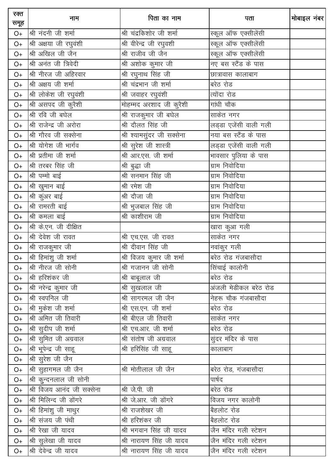| रक्त<br>समूह | नाम                       | पिता का नाम                    | पता                   | मोबाइल नंबर |
|--------------|---------------------------|--------------------------------|-----------------------|-------------|
| $O+$         | श्री नंदनी जी शर्मा       | श्री चंद्रकिशोर जी शर्मा       | स्कूल ऑफ एक्सीलेंसी   |             |
| $O+$         | श्री अक्षया जी रघुवंशी    | श्री वीरेन्द्र जी रघुवशी       | स्कूल ऑफ एक्सीलेंसी   |             |
| $O+$         | श्री अखिल जी जैन          | श्री राजीव जी जैन              | स्कूल ऑफ एक्सीलेंसी   |             |
| $O+$         | श्री अनंत जी त्रिवेदी     | श्री अशोक कुमार जी             | नए बस स्टैंड के पास   |             |
| $O+$         | श्री नीरज जी अहिरवार      | श्री रघुनाथ सिंह जी            | छात्रावास कालाबाग     |             |
| $O+$         | श्री अक्षय जी शर्मा       | <u>श्री चंद्र</u> भान जी शर्मा | बरेठ रोड              |             |
| $O+$         | श्री लोकेश जी रघुवंशी     | श्री जवाहर रघुवंशी             | त्योंदा रोड           |             |
| $O+$         | श्री असपद जी कुरैशी       | मोहम्मद अरशाद जी कुरैशी        | गांधी चौक             |             |
| $O+$         | श्री रवि जी बघेल          | श्री राजकुमार जी बघेल          | साकेत नगर             |             |
| $O+$         | श्री राजेन्द्र जी अरोरा   | श्री दौलत सिंह जी              | लड्डा एजेंसी वाली गली |             |
| $O+$         | श्री गौरव जी सक्सेना      | श्री श्यामसुंदर जी सक्सेना     | नया बस स्टैंड के पास  |             |
| $O+$         | श्री योगेश जी भार्गव      | श्री सुरेश जी शास्त्री         | लड्डा एजेंसी वाली गली |             |
| $O+$         | श्री प्रतीमा जी शर्मा     | श्री आर.एस. जी शर्मा           | भावसार पुलिया के पास  |             |
| $O+$         | श्री तरबर सिंह जी         | श्री बुद्धा जी                 | ग्राम निवोदिया        |             |
| $O+$         | श्री पम्मो बाई            | श्री सनमान सिंह जी             | ग्राम निवोदिया        |             |
| $O+$         | श्री खुमान बाई            | श्री रमेश जी                   | ग्राम निवोदिया        |             |
| $O+$         | श्री कुंअर बाई            | श्री दौजा जी                   | ग्राम निवोदिया        |             |
| $O+$         | श्री रामरती बाई           | श्री भुजबाल सिंह जी            | ग्राम निवोदिया        |             |
| $O+$         | श्री कमला बाई             | श्री काशीराम जी                | ग्राम निवोदिया        |             |
| $O+$         | श्री के.एन. जी दीक्षित    |                                | खारा कुआ गली          |             |
| $O+$         | श्री देवेश जी रावत        | श्री एच.एस. जी रावत            | साकेत नगर             |             |
| $O+$         | श्री राजकुमार जी          | श्री दीवान सिंह जी             | नवांकुर गली           |             |
| $O+$         | श्री हिमांशु जी शर्मा     | श्री विजय कुमार जी शर्मा       | बरेठ रोड गंजबासौदा    |             |
| $O+$         | श्री नीरज जी सोनी         | श्री गजानन जी सोनी             | सिंचाई कालोनी         |             |
| O+           | श्री हरिशंकर जी           | श्री बाबूलाल जी                | बरेठ रोड              |             |
| $O+$         | श्री नरेन्द्र कुमार जी    | श्री सुखलाल जी                 | अंजली मेडीकल बरेठ रोड |             |
| O+           | श्री स्वपनिल जी           | श्री सागरमल जी जैन             | नेहरू चौक गंजबासौदा   |             |
| O+           | श्री मुकेश जी शर्मा       | श्री एस.एन. जी शर्मा           | बरेठ रोड              |             |
| $O+$         | श्री अमित जी तिवारी       | श्री बीएल जी तिवारी            | साकेत नगर             |             |
| O+           | श्री सुदीप जी शर्मा       | श्री एच.आर. जी शर्मा           | बरेठ रोड              |             |
| O+           | श्री सुमित जी अग्रवाल     | श्री संतोष जी अग्रवाल          | सुंदर मंदिर के पास    |             |
| O+           | श्री भूपेन्द्र जी साहू    | श्री हरिसिंह जी साहू           | कालाबाग               |             |
| O+           | श्री सुरेश जी जैन         |                                |                       |             |
| O+           | श्री सुहागमल जी जैन       | श्री मोतीलाल जी जैन            | बरेठ रोड, गंजबासौदा   |             |
| O+           | श्री कुन्दनलाल जी सोनी    |                                | पार्षद                |             |
| O+           | श्री विजय आनंद जी सक्सेना | श्री जे.पी. जी                 | बरेठ रोड              |             |
| $O+$         | श्री मिलिन्द जी डोंगरे    | श्री जे.आर. जी डोंगरे          | विजय नगर कालोनी       |             |
| O+           | श्री हिमांशु जी माथुर     | श्री राजशेखर जी                | बैहलोट रोड            |             |
| O+           | श्री संजय जी पंथी         | श्री हरिशंकर जी                | बैहलोट रोड            |             |
| O+           | श्री रेखा जी यादव         | श्री भगवान सिंह जी यादव        | जैन मंदिर गली स्टेशन  |             |
| O+           | श्री सुलेखा जी यादव       | श्री नारायण सिंह जी यादव       | जैन मंदिर गली स्टेशन  |             |
| $O+$         | श्री देवेन्द्र जी यादव    | श्री नारायण सिंह जी यादव       | जैन मंदिर गली स्टेशन  |             |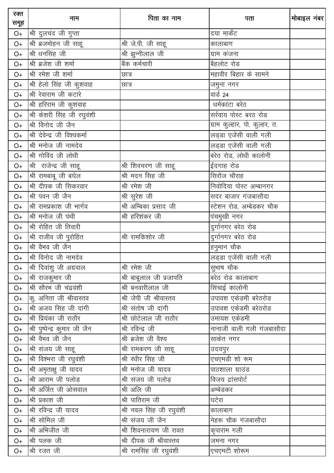| रक्त<br>समूह | नाम                           | पिता का नाम                     | पता                             | मोबाइल नंबर |
|--------------|-------------------------------|---------------------------------|---------------------------------|-------------|
| O+           | श्री दुलचंद जी गुप्ता         |                                 | दया मार्केट                     |             |
| $O+$         | श्री ब्रजमोहन जी साहू         | श्री जे.पी. जी साहू             | कालाबाग                         |             |
| $O+$         | श्री धनसिंह जी                | श्री झुन्नीलाल जी               | ग्राम कंजना                     |             |
| $O+$         | श्री ब्रजेश जी शर्मा          | बैंक कर्मचारी                   | बैहलोट रोड                      |             |
| $O+$         | श्री रमेश जी शर्मा            | छात्र                           | महावीर बिहार के सामने           |             |
| $O+$         | श्री हेलो सिंह जी कुशवाह      | छात्र                           | जमुना नगर                       |             |
| $O+$         | श्री रेवाराम जी कटारे         |                                 | वार्ड 24                        |             |
| $O+$         | श्री हरिराम जी कुशवाह         |                                 | धर्मकांटा बरेठ                  |             |
| $O+$         | श्री केशरी सिंह जी रघुवंशी    |                                 | सर्रवाय पोस्ट बरठ रोड           |             |
| $O+$         | श्री विनोद जी जैन             |                                 | ग्राम कुल्हार, पो. कुल्हर, त.   |             |
| $O+$         | श्री देवेन्द्र जी विश्वकर्मा  |                                 | लड्डा एजेंसी वाली गली           |             |
| $O+$         | श्री मनोज जी नामदेव           |                                 | लड्डा एजेंसी वाली गली           |             |
| $O+$         | श्री गोविंद जी लोधी           |                                 | बरेठ रोड, लोधी कालोनी           |             |
| $O+$         | श्री राजेन्द्र जी साहू        | श्री शिवचरण जी साहू             | ईदगाह रोड                       |             |
| $O+$         | श्री रामबाबू जी बघेल          | श्री मदन सिह जी                 | सिरोंज चौराह                    |             |
| $O+$         | श्री दीपक जी सिकरवार          | श्री रमेश जी                    | निवोदिया पोस्ट अम्बानगर         |             |
| $O+$         | श्री पवन जी जैन               | श्री सुरेश जी                   | सदर बाजार गंजबासौदा             |             |
| $O+$         | श्री रामप्रकाश जी भार्गव      | __<br>श्री अम्बिका प्रसाद जी    | स्टेशन रोड, अम्बेडकर चौक        |             |
| $O+$         | श्री मनोज जी पंथी             | श्री हरिशंकर जी                 | पंचमुखी नगर                     |             |
| $O+$         | श्री रोहित जी तिवारी          |                                 | <mark>दुर्गानगर बरेठ रोड</mark> |             |
| $O+$         | श्री राजीव जी पुरोहित         | श्री रामकिशोर जी                | दुर्गानगर बरेठ रोड              |             |
| $O+$         | श्री वैभव जी जैन              |                                 | हनुमान चौक                      |             |
| $O+$         | श्री विनोद जी नामदेव          |                                 | लड़डा एजेंसी वाली गली           |             |
| $O+$         | श्री दिवांशु जी अग्रवाल       | श्री रमेश जी                    | सुभाष चौक                       |             |
| $O+$         | श्री राजकुमार जी              | श्री बाबूलाल जी प्रजापति        | बरेठ रोड कालाबाग                |             |
| $O+$         | श्री सौरभ जी चंद्रवंशी        | <u>श्री बनवारीलाल जी</u>        | <u>सिंचाई कालोनी</u>            |             |
| $O+$         | कु. अनिता जी श्रीवास्तव       | श्री जेपी जी श्रीवास्तव         | उपावश एकेडमी बरेठरोड            |             |
| $O+$         | श्री अजय सिंह जी दांगी        | श्री संतोष जी दांगी             | उपावश एकेडमी बरेठरोड            |             |
| $O+$         | श्री प्रियंका जी राठौर        | श्री छोटेलाल जी राठौर           | उमायश एकेडमी                    |             |
| $O+$         | श्री पुष्पेन्द्र कुमार जी जैन | श्री रविन्द्र जी                | नानाजी वाली गली गंजबासौदा       |             |
| $O+$         | श्री वैभव जी जैन              | श्री ब्रजेश जी वैश्य            | साकेत नगर                       |             |
| $O+$         | श्री संजय जी साहू             | <u>श्री रा</u> मकरण जी साहू     | उदयपुर                          |             |
| $O+$         | श्री विश्मरा जी रघुवंशी       | श्री रंधीर सिंह जी              | एचएमडी शो रूम                   |             |
| $O+$         | श्री अमृताक्षु जी यादव        | श्री मनोज जी यादव               | पाठशाला ग्राउंड                 |             |
| $O+$         | श्री आराम जी पलोड़            | श्री संजय जी पलोड़              | विजय द्वांसपोर्ट                |             |
| $O+$         | श्री अर्जित जी ओसवाल          | श्री अलि जी                     | अम्बेडकर                        |             |
| $O+$         | श्री प्रकाश जी                | श्री पातिराम जी                 | घटेरा                           |             |
| $O+$         | श्री रविन्द्र जी यादव         | <u>श्री नवल सिंह जी</u> रघुवंशी | कालाबाग                         |             |
| $O+$         | श्री सोमिल जी                 | श्री संजय जी जैन                | नेहरू चौक गंजबासौदा             |             |
| $O+$         | श्री अभिजीत जी                | श्री शिवनारायण जी रावत          | कृपाराम गली                     |             |
| $O+$         | श्री पलक जी                   | श्री दीपक जी श्रीवास्तव         | जमना नगर                        |             |
| $O+$         | श्री रजत जी                   | श्री रामसिंह जी रघुवंशी         | _<br>एचएमटी शोरूम               |             |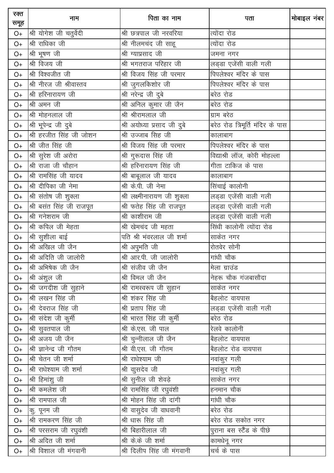| रक्त<br>समूह | नाम                      | पिता का नाम                     | पता                              | मोबाइल नंबर |
|--------------|--------------------------|---------------------------------|----------------------------------|-------------|
| O+           | श्री योगेश जी चतुर्वेदी  | श्री छत्रपाल जी नरवरिया         | त्योंदा रोड                      |             |
| $O+$         | श्री राधिका जी           | श्री नीलमचंद जी साहू            | त्योंदा रोड                      |             |
| $O+$         | श्री भूषण जी             | श्री ग्याप्रसाद जी              | जमना नगर                         |             |
| $O+$         | श्री विजय जी             | श्री भगतराज परिहार जी           | लड्डा एजेंसी वाली गली            |             |
| $O+$         | श्री विश्वजीत जी         | श्री विजय सिंह जी परमार         | पिपलेश्वर मंदिर के पास           |             |
| $O+$         | श्री नीरज जी श्रीवास्तव  | श्री जुगलकिशोर जी               | पिपलेश्वर मंदिर के पास           |             |
| $O+$         | श्री हरिनारायण जी        | श्री नरेन्द्र जी दुबे           | बरेठ रोड                         |             |
| $O+$         | श्री अमन जी              | ___<br>श्री अनिल कुमार जी जैन   | बरेठ रोड                         |             |
| $O+$         | श्री मोहनलाल जी          | श्री श्रीरामलाल जी              | ग्राम बरेठ                       |             |
| $O+$         | श्री भूपेन्द्र जी दुबे   | श्री अयोध्या प्रसाद जी दुबे     | बरेठ रोड त्रिमूर्ति मंदिर के पास |             |
| $O+$         | श्री हरजीत सिंह जी जोशन  | श्री उज्जाब सिह जी              | कालाबाग                          |             |
| $O+$         | श्री जीत सिंह जी         | श्री विजय सिंह जी परमार         | पिपलेश्वर मंदिर के पास           |             |
| $O+$         | श्री सुरेश जी अरोरा      | श्री गुरूदास सिंह जी            | विद्याश्री लॉज, कोरी मोहल्ला     |             |
| $O+$         | श्री राजा जी चौहान       | श्री हरिनारायण सिंह जी          | गीता टाकिज के पास                |             |
| $O+$         | श्री रामसिंह जी यादव     | श्री बाबूलाल जी यादव            | कालाबाग                          |             |
| $O+$         | श्री दीपिका जी नेमा      | श्री के.पी. जी नेमा             | सिंचाई कालोनी                    |             |
| $O+$         | श्री संतोष जी शुक्ला     | श्री लक्ष्मीनारायण जी शुक्ला    | लड्डा एजेंसी वाली गली            |             |
| $O+$         | श्री बसंत सिंह जी राजपूत | श्री फतेह सिंह जी राजपूत        | लड्डा एजेंसी वाली गली            |             |
| $O+$         | श्री गनेशराम जी          | श्री काशीराम जी                 | लड्डा एजेंसी वाली गली            |             |
| $O+$         | श्री कपिल जी मेहता       | श्री खेमचंद जी महता             | सिंधी कालोनी त्योंदा रोड         |             |
| $O+$         | श्री सुशीला बाई          | पति श्री भंवरलाल जी शर्मा       | साकेत नगर                        |             |
| $O+$         | श्री अखिल जी जैन         | श्री अपुभति जी                  | रोतवेर सोनी                      |             |
| $O+$         | श्री अदिति जी जालोरी     | श्री आर.पी. जी जालोरी           | गांधी चौक                        |             |
| $O+$         | श्री अभिषेक जी जैन       | श्री संजीव जी जैन               | मेला ग्राउंड                     |             |
| $O+$         | श्री अंशुल जी            | श्री विमल जी जैन                | नेहरू चौक गंजबासौदा              |             |
| $O+$         | श्री जगदीश जी सुहाने     | ___<br>श्री रामस्वरूप जी सुहान  | __<br>साकेत नगर                  |             |
| $O+$         | श्री लखन सिंह जी         | श्री शंकर सिंह जी               | <u>बैहलोट</u> वायपास             |             |
| $O+$         | श्री देवराज सिंह जी      | श्री प्रताप सिंह जी             | लड्डा एजेंसी वाली गली            |             |
| $O+$         | श्री संदेश जी कुर्मी     | <u>श्री भारत सिंह</u> जी कुर्मी | बरेठ रोड                         |             |
| $O+$         | श्री सुवतपाल जी          | श्री के.एस. जी पाल              | रेलवे कालोनी                     |             |
| $O+$         | श्री अजय जी जैन          | श्री चुन्नीलाल जी जैन           | बैहलोट वायपास                    |             |
| $O+$         | श्री ज्ञानेन्द्र जी गौतम | श्री वी.एस. जी गौतम             | बैहलोट रोड वायपास                |             |
| $O+$         | श्री चेतन जी शर्मा       | श्री राधेश्याम जी               | नवांकुर गली                      |             |
| $O+$         | श्री राधेश्याम जी शर्मा  | श्री वाुसदेव जी                 | नवांकुर गली                      |             |
| $O+$         | श्री हिमांशु जी          | <u>श्री सुनील जी शेवड़े</u>     | साकेत नगर                        |             |
| $O+$         | श्री कमलेश जी            | श्री रामसिंह जी रघुवंशी         | हनमान चौक                        |             |
| $O+$         | श्री रामपाल जी           | श्री मोहन सिंह जी दांगी         | गांधी चौक                        |             |
| O+           | कु. पूनम जी              | श्री वासुदेव जी वाधवानी         | बरेठ रोड                         |             |
| $O+$         | श्री रामकरण सिंह जी      | श्री धारू सिंह जी               | बरेठ रोड सकोत नगर                |             |
| $O+$         | श्री परसराम जी रघुवंशी   | श्री बिहारीलाल जी               | पुराना बस स्टैंड के पीछे         |             |
| $O+$         | श्री अदित जी शर्मा       | श्री के.के जी शर्मा             | कामधेनू नगर                      |             |
| $O+$         | श्री विशाल जी मंगवानी    | श्री दिलीप सिंह जी मंगवानी      | चर्च के पास                      |             |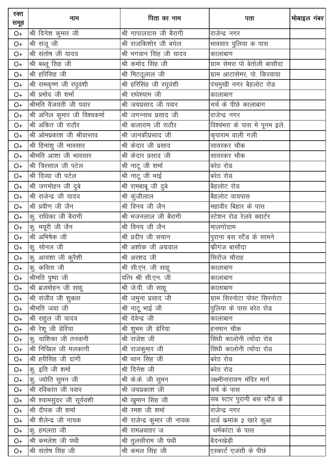| रक्त<br>समूह | नाम                           | पिता का नाम                  | पता                            | मोबाइल नंबर |
|--------------|-------------------------------|------------------------------|--------------------------------|-------------|
| $O+$         | श्री दिनेश कुमार जी           | श्री गापालदास जी बैरागी      | राजेन्द्र नगर                  |             |
| $O+$         | श्री संजू जी                  | श्री राजकिशोर जी बघेल        | भावसार पुलिया क पास            |             |
| $O+$         | श्री संतोष जी यादव            | श्री भगवान सिंह जी यादव      | कालाबाग                        |             |
| $O+$         | श्री बब्लू सिह जी             | श्री कमोद सिंह जी            | ग्राम सेमरा पो बेतोली बासौदा   |             |
| $O+$         | श्री हरिसिह जी                | श्री मिटठूलाल जी             | ग्राम आटासेमर, पो. किरवाया     |             |
| $O+$         | श्री रामकृष्ण जी रघुवंशी      | श्री हरिसिंह जी रघुवंशी      | पंचमुखी नगर बैहलोट रोड         |             |
| $O+$         | श्री प्रमोद जी शर्मा          | श्री राधेश्याम जी            | कालाबाग                        |             |
| $O+$         | श्रीमति वैजयंती जी पवार       | श्री जयप्रसाद जी पवार        | चर्च के पीछे कालाबाग           |             |
| $O+$         | श्री अनिल कुमार जी विश्वकर्मा | श्री जगन्नाथ प्रसाद जी       | राजेन्द्र नगर                  |             |
| $O+$         | श्री अंकित जी राठौर           | श्री बालाराम जी राठौर        | विश्वंभरा के पास में पूनम इले. |             |
| $O+$         | श्री ओमप्रकाश जी श्रीवास्तव   | श्री जानकीप्रसाद जी          | कृपाराम वाली गली               |             |
| $O+$         | श्री हिमांशु जी भावसार        | श्री केदार जी प्रसाद         | सावरकर चौक                     |             |
| $O+$         | श्रीमति आशा जी भावसार         | श्री केदार प्रसाद जी         | सावरकर चौक                     |             |
| $O+$         | श्री त्रिरसाल जी पटेल         | श्री नाटू जी शर्मा           | बरेठ रोड                       |             |
| $O+$         | श्री दिव्या जी पटेल           | श्री नाटू जी भाई             | बरेठ रोड                       |             |
| $O+$         | श्री जगमोहन जी दुबे           | श्री रामबाबू जी दुबे         | बैहलोट रोड                     |             |
| $O+$         | श्री राजेन्द्र जी यादव        | श्री कुंजीलाल                | बिहलोट वायपास                  |             |
| $O+$         | श्री प्रवीण जी जैन            | श्री विनय जी जैन             | महावीर बिहार के पास            |             |
| $O+$         | कु. राधिका जी बैरागी          | श्री भजनलाल जी बैरागी        | स्टेशन रोड रेलवे क्वार्टर      |             |
| $O+$         | कु. मयूरी जी जैन              | श्री विनय जी जैन             | _<br>मालगोदाम                  |             |
| $O+$         | श्री अभिषेक जी                | श्री प्रदीप जी सचान          | पुराना बस स्टैंड के सामने      |             |
| $O+$         | कु. सोनल जी                   | श्री अशोक जी अग्रवाल         | फ्रीगंज बासौदा                 |             |
| $O+$         | $\sigma$ आयशा जी कूरैशी       | श्री अरशद जी                 | सिरोंज चौराह                   |             |
| $O+$         | कु. कविता जी                  | श्री सी.एन. जी साहू          | कालाबाग                        |             |
| $O+$         | <u>श्रीमति पुष्</u> पा जी     | पत्नि श्री सी.एन. जी         | कालाबाग                        |             |
| $O+$         | श्री ब्रजमोहन जी साहू         | श्री जे.पी. जी साहू          | कालाबाग                        |             |
| $O+$         | श्री संजीव जी शुक्ला          | श्री जमुना प्रसाद जी         | ग्राम सिरनोटा पोस्ट सिरनोटा    |             |
| O+           | श्रीमति जया जी                | श्री नाटू भाई जी             | पुलिया के पास बरेठ रोड         |             |
| O+           | श्री राहुल जी यादव            | श्री देवेन्द्र जी            | कालाबाग                        |             |
| O+           | श्री रेशू जी डेरिया           | श्री शुभम जी डेरिया          | हनमान चौक                      |             |
| O+           | कु. याशिका जी तनवानी          | श्री राजेश जी                | सिंधी कालोनी त्योंदा रोड       |             |
| O+           | श्री निखिल जी मलकानी          | श्री राजकुमार जी             | सिंधी कालोनी त्योंदा रोड       |             |
| O+           | श्री हरीसिंह जी दांगी         | श्री थान सिंह जी             | बरेठ रोड                       |             |
| O+           | कु. इति जी शर्मा              | श्री दिनेश जी                | बरेठ रोड                       |             |
| O+           | कु. ज्योति सुमन जी            | श्री के.के. जी सुमन          | लक्ष्मीनारायण मंदिर मार्ग      |             |
| O+           | श्री रविकांत जी पवार          | श्री जयप्रकाश जी             | चर्च के पास                    |             |
| O+           | श्री श्यामसुंदर जी सूर्यवंशी  | श्री खुमान सिंह जी           | सब स्टार पुरानी बस स्टैंड के   |             |
| O+           | श्री दीपक जी शर्मा            | श्री रमश जी शर्मा            | राजेन्द्र नगर                  |             |
| O+           | श्री शैलेन्द्र जी नायक        | श्री राजेन्द्र कुमार जी नायक | वार्ड कमांक 2 खारे कुआ         |             |
| O+           | कु. हमलता जी                  | श्री रामअवतार ज              | धर्मकांटा के पास               |             |
| O+           | श्री कमलेश जी पंथी            | श्री तुलसीराम जी पंथी        | बैदनखेड़ी                      |             |
| $O+$         | श्री संतोष सिंह जी            | श्री कमल सिंह जी             | एस्कार्ट एजंसी के पीछे         |             |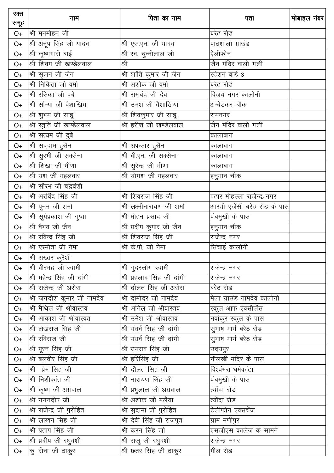| रक्त<br>समूह | नाम                         | पिता का नाम                            | पता                               | मोबाइल नंबर |
|--------------|-----------------------------|----------------------------------------|-----------------------------------|-------------|
| $O+$         | श्री मनमोहन जी              |                                        | बरेठ रोड                          |             |
| $O+$         | श्री अनूप सिंह जी यादव      | श्री एस.एन. जी यादव                    | पाठशाला ग्राउंड                   |             |
| $O+$         | श्री कृष्णगारी बाई          | श्री स्व. चुन्नीलाल जी                 | ऐलीफोन                            |             |
| $O+$         | श्री शिवम जी खण्डेलवाल      | श्री                                   | जैन मंदिर वाली गली                |             |
| $O+$         | श्री सृजन जी जैन            | श्री शांति कुमार जी जैन                | स्टेशन वार्ड 3                    |             |
| $O+$         | श्री निकिता जी वर्मा        | श्री अशोक जी वर्मा                     | बरेठ रोड                          |             |
| $O+$         | श्री रसिका जी दबे           | श्री रामचंद जी देव                     | विजय नगर कालोनी                   |             |
| $O+$         | श्री सौम्या जी वैशाखिया     | श्री उमश जी वैशाखिया                   | अम्बेडकर चौक                      |             |
| $O+$         | श्री शुभम जी साहू           | श्री शिवकुमार जी साहू                  | रामनगर                            |             |
| $O+$         | श्री स्तूति जी खण्डेलवाल    |                                        | जैन मंदिर वाली गली                |             |
| $O+$         | श्री सत्यम जी दुबे          |                                        | कालाबाग                           |             |
| $O+$         | श्री सद्दाम हुसैन           | श्री अफसार हुसैन                       | कालाबाग                           |             |
| $O+$         | श्री सुरभी जी सक्सेना       | श्री बी.एन. जी सक्सेना                 | कालाबाग                           |             |
| $O+$         | श्री शिखा जी मीणा           | श्री सुरेन्द्र जी मीणा                 | कालाबाग                           |             |
| $O+$         | श्री यश जी महलवार           | श्री योगश जी महलवार                    | हनुमान चौक                        |             |
| $O+$         | श्री सौरभ जी चंद्रवंशी      |                                        |                                   |             |
| $O+$         | श्री अरविंद सिंह जी         | श्री शिवराज सिंह जी                    | पठार मोहल्ला राजेन्द>नगर          |             |
| $O+$         | श्री पूनम जी शर्मा          | श्री लक्ष्मीनारायण जी शर्मा            | आरती एजेंसी बरेठ रोड के पास       |             |
| $O+$         | श्री सूर्यप्रकाश जी गुप्ता  | श्री मोहन प्रसाद जी                    | पंचमुखी के पास                    |             |
| $O+$         | श्री वैभव जी जैन            | श्री प्रदीप कुमार जी जैन               | हनुमान चौक                        |             |
| $O+$         | श्री रविन्द्र सिंह जी       | श्री शिवराज सिंह जी                    | _<br>राजेन्द्र नगर                |             |
| $O+$         | श्री एस्मीता जी नेमा        | श्री के.पी. जी नेमा                    | सिंचाई कालोनी                     |             |
| $O+$         | श्री अख्तर कूरैशी           |                                        |                                   |             |
| $O+$         | श्री वीरभद्र जी स्वामी      | श्री गुदरलोग स्वामी                    | राजेन्द्र नगर                     |             |
| $O+$         | श्री महेन्द्र सिंह जी दांगी | श्री प्रहलाद सिंह जी दांगी             | राजेन्द्र नगर                     |             |
| $O+$         | श्री राजेन्द्र जी अरोरा     | <u>श्री दौलत सिंह जी अरोरा</u>         | बरेठ रोड                          |             |
| $O+$         | श्री जगदीश कुमार जी नामदेव  | श्री दामोदर जी नामदेव                  | <u>मेला ग्राउंड नामदेव कालोनी</u> |             |
| $O+$         | श्री मैथिल जी श्रीवास्तव    | श्री अनिल जी श्रीवास्तव                | स्कूल आफ एक्सीलेंस                |             |
| $O+$         | श्री आकाश जी श्रीवास्वत     | श्री उमेश जी श्रीवास्तव                | नवांकुर स्कूल के पास              |             |
| $O+$         | श्री लेखराज सिंह जी         | श्री गंधर्व सिंह जी दांगी              | सुभाष मार्ग बरेठ रोड              |             |
| $O+$         | श्री रविराज जी              | श्री गंधर्व सिंह जी दांगी              | सुभाष मार्ग बरेठ रोड              |             |
| $O+$         | श्री पूरन सिंह जी           | श्री उमराव सिंह जी                     | उदयपुर                            |             |
| $O+$         | श्री बलवीर सिंह जी          | श्री हरिसिंह जी                        | नौलखी मंदिर के पास                |             |
| $O+$         | श्री प्रेम सिंह जी          | $\overline{\mathcal{A}}$ ा दौलत सिह जी | विश्वंभरा धर्मकांटा               |             |
| $O+$         | श्री निशीकांत जी            | श्री नारायण सिंह जी                    | पंचमुखी के पास                    |             |
| $O+$         | श्री कृष्ण जी अग्रवाल       | श्री प्रभुलाल जी अग्रवाल               | त्योंदा रोड                       |             |
| $O+$         | श्री गगनदीप जी              | श्री अशोक जी मलैया                     | त्योंदा रोड                       |             |
| O+           | श्री राजेन्द्र जी पुरोहित   | श्री सुदामा जी पुरोहित                 | टेलीफोन एक्सचेंज                  |             |
| $O+$         | श्री लाखन सिंह जी           | श्री देवी सिंह जी राजपूत               | <u>ग्राम मणीपु</u> र              |             |
| $O+$         | श्री प्रताप सिंह जी         | श्री करन सिंह जी                       | एसजीएस कालेज के सामने             |             |
| O+           | श्री प्रदीप जी रघुवंशी      | श्री राजू जी रघुवंशी                   | राजेन्द्र नगर                     |             |
| $O+$         | कु. रीना जी ठाकुर           | श्री छतर सिंह जी ठाकुर                 | मील रोड                           |             |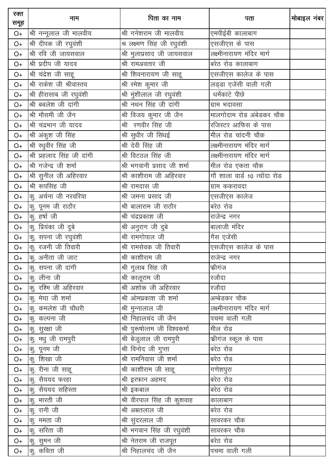| रक्त<br>समूह | नाम                        | पिता का नाम                                | पता                          | मोबाइल नंबर |
|--------------|----------------------------|--------------------------------------------|------------------------------|-------------|
| $O+$         | श्री नन्नूलाल जी मालवीय    | श्री गनेशराम जी मालवीय                     | एमपीईबी कालाबाग              |             |
| $O+$         | श्री दीपक जी रघुवंशी       | श्र लक्ष्मण सिंह जी रघुवंशी                | एसजीएस के पास                |             |
| $O+$         | श्री रवि जी जायसवाल        | श्री मुलाप्रसाद जी जायसवाल                 | लक्ष्मीनारायण मंदिर मार्ग    |             |
| $O+$         | श्री प्रदीप जी यादव        | श्री रामअवतार जी                           | बरेठ रोड कालाबाग             |             |
| $O+$         | श्री चंद्रेश जी साहू       | श्री शिवनारायण जी साहू                     | एसजीएस कालेज के पास          |             |
| $O+$         | श्री राकेश जी श्रीवास्तव   | श्री रमेश कुमार जी                         | लड्डा एजेंसी वाली गली        |             |
| $O+$         | श्री हीरासाब जी रघुवंशी    | श्री मुंशीलाल जी रघुवंशी                   | धर्मकांटे पीछे               |             |
| $O+$         | श्री बबलेश जी दांगी        | श्री नथन सिंह जी दांगी                     | ग्राम भदावसा                 |             |
| $O+$         | श्री मौसमी जी जैन          | श्री विजय कुमार जी जैन                     | मालगोदाम रोड अंबेडकर चौक     |             |
| $O+$         | श्री चंद्रभान जी यादव      | श्री रणवीर सिंह जी                         | रजिस्टर आफिस के पास          |             |
| $O+$         | श्री अंकुश जी सिंह         | श्री सुधीर जी सिंधई                        | मील रोड चांदनी चौक           |             |
| $O+$         | श्री रधुवीर सिंह जी        | श्री देवी सिंह जी                          | लक्ष्मीनारायण मंदिर मार्ग    |             |
| $O+$         | श्री प्रहलाद सिंह जी दांगी | श्री विटठल सिंह जी                         | लक्ष्मीनारायण मंदिर मार्ग    |             |
| $O+$         | श्री गजेन्द्र जी शर्मा     | श्री भगवानी प्रसाद जी शर्मा                | मील रोड एकता चौक             |             |
| $O+$         | श्री सुनील जी अहिरवार      | श्री काशीराम जी अहिरवार                    | गौ शाला वार्ड 10 त्योंदा रोड |             |
| $O+$         | श्री रूपसिंह जी            | श्री रामदास जी                             | ग्राम ककरावदा                |             |
| $O+$         | कु. अर्चना जी नरवरिया      | श्री जमना प्रसाद जी                        | एसजीएस कालेज                 |             |
| $O+$         | कु. पूनम जी राठौर          | श्री बालाराम जी राठौर                      | बरेठ रोड                     |             |
| $O+$         | कु. हर्षा जी               | श्री चंद्रप्रकाश जी                        | राजेन्द्र नगर                |             |
| $O+$         | कु. प्रियंका जी दुबे       | श्री अनुराग जी दुबे                        | __<br>बालाजी मंदिर           |             |
| $O+$         | कु. सपना जी रघुवंशी        | श्री रामगोपाल जी                           | गैस एजेंसी                   |             |
| $O+$         | कु. रजनी जी तिवारी         | श्री रामसेवक जी तिवारी                     | एसजीएस कालेज के पास          |             |
| $O+$         | $\sigma$ अनीता जी जाट      | श्री काशीराम जी                            | राजेन्द्र नगर                |             |
| $O+$         | कु. सपना जी दांगी          | श्री गुलाब सिंह जी                         | फ्रीगंज                      |             |
| $O+$         | कु. लीना जी                | श्री कालूराम जी                            | रजौदा                        |             |
| $O+$         | कु. रश्मि जी अहिरवार       | श्री अशोक जी अहिरवार                       | रजौदा                        |             |
| $O+$         | कु. मेघा जी शर्मा          | श्री ओमप्रकाश जी शर्मा                     | अम्बेडकर चौक                 |             |
| O+           | कु. कमलेश जी चौधरी         | श्री मुन्नालाल जी                          | लक्ष्मीनारायण मंदिर मार्ग    |             |
| O+           | कु. कल्पना जी              | श्री निहालचंद जी जैन                       | पचमा वाली गली                |             |
| O+           | कु. सुरक्षा जी             | श्री पुरूषोत्तम जी विश्वकर्मा              | मील रोड                      |             |
| O+           | कु. मधु जी रामपुरी         | श्री बेजूलाल जी रामपुरी                    | .<br>फीगंज स्कूल के पास      |             |
| O+           | कु. पूनम जी                | <u>श्री विनोद</u> जी गुप्ता                | बरेठ रोड                     |             |
| O+           | कु. शिखा जी                | श्री रामनिवास जी शर्मा                     | बरेठ रोड                     |             |
| $O+$         | कु. रीना जी साहू           | $\overline{\mathcal{A}}$ ा काशीराम जी साहू | गणेशपुरा                     |             |
| $O+$         | कु. सैययद फरहा             | श्री इरफान अहमद                            | बरेठ रोड                     |             |
| $O+$         | कु. सैययद सहिस्ता          | ्<br>श्री इकबाल                            | बरेठ रोड                     |             |
| $O+$         | कु. भारती जी               |                                            | कालाबाग                      |             |
| O+           | कु. रानी जी                | श्री अम्रतलाल जी                           | बरेठ रोड                     |             |
| O+           | कु. ममता जी                | श्री सुंदरलाल जी                           | सावरकर चौक                   |             |
| O+           | कु. सरिता जी               | श्री भगवान सिंह जी रघुवंशी                 | सावरकर चौक                   |             |
| O+           | कु. सुमन जी                | श्री नेतराम जी राजपूत                      | बरेठ रोड                     |             |
| $O+$         | कु. कविता जी               | श्री निहालचंद जी जैन                       | पचमा वाली गली                |             |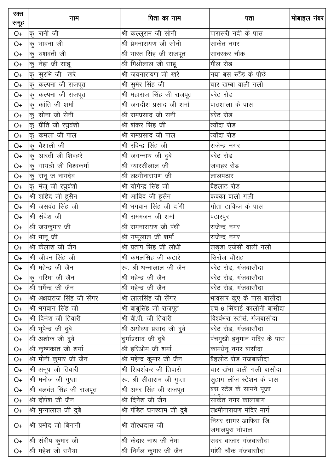| रक्त<br>समूह | नाम                         | पिता का नाम                       | पता                                       | मोबाइल नंबर |
|--------------|-----------------------------|-----------------------------------|-------------------------------------------|-------------|
| $O+$         | कु. रानी जी                 | श्री कल्लूराम जी सोनी             | पारासरी नदी के पास                        |             |
| $O+$         | कु. भावना जी                | श्री प्रेमनारायण जी सोनी          | साकेत नगर                                 |             |
| $O+$         | कु. यशवंती जी               | श्री भारत सिंह जी राजपूत          | सावरकर चौक                                |             |
| $O+$         | कु. नेहा जी साहू            | श्री मिश्रीलाल जी साहू            | मील रोड                                   |             |
| $O+$         | कु. सुरभि जी खरे            | श्री जयनारायण जी खरे              | नया बस स्टैंड के पीछे                     |             |
| $O+$         | कु. कल्पना जी राजपूत        | श्री सुमेर सिंह जी                | चार खम्बा वाली गली                        |             |
| $O+$         | कु. कल्पना जी राजपूत        | श्री महाराज सिंह जी राजपूत        | बरेठ रोड                                  |             |
| $O+$         | कु. कांति जी शर्मा          | श्री जगदीश प्रसाद जी शर्मा        | पाठशाला के पास                            |             |
| $O+$         | कु. सोना जी सेनी            | श्री रामप्रसाद जी सनी             | बरेठ रोड                                  |             |
| $O+$         | कु. प्रीति जी रघुवंशी       | श्री शंकर सिंह जी                 | त्योंदा रोड                               |             |
| $O+$         | कु. कमला जी पाल             | श्री रामप्रसाद जी पाल             | त्योंदा रोड                               |             |
| $O+$         | कु. वैशाली जी               | श्री रविन्द्र सिंह जी             | राजेन्द्र नगर                             |             |
| $O+$         | कु. आरती जी शिवहरे          | श्री जगन्नाथ जी दुबे              | बरेठ रोड                                  |             |
| $O+$         | कु. गायत्री जी विश्वकर्मा   | श्री ग्यारसीलाल जी                | जवाहर रोड                                 |             |
| $O+$         | कु. रानू ज नामदेव           | श्री लक्ष्मीनारायण जी             | लालपठार                                   |             |
| $O+$         | कु. मंजू जी रघुवंशी         | श्री योगेन्द्र सिंह जी            | बैहलाट रोड                                |             |
| $O+$         | श्री शहिद जी हुसैन          | श्री आविद जी हुसैन                | कक्का वाली गली                            |             |
| $O+$         | श्री जसवंत सिंह जी          | श्री भगवान सिंह जी दांगी          | गीता टाकिज के पास                         |             |
| $O+$         | श्री संदेश जी               | श्री रामभजन जी शर्मा              | पठारपुर                                   |             |
| $O+$         | श्री जयकुमार जी             | श्री रामनारायण जी पंथी            | राजेन्द्र नगर                             |             |
| $O+$         | श्री भानू जी                | श्री गप्पूलाल जी शर्मा            | राजेन्द्र नगर                             |             |
| $O+$         | श्री कैलाश जी जैन           | श्री प्रताप सिंह जी लोधी          | लड्डा एजेंसी वाली गली                     |             |
| $O+$         | श्री जीवन सिंह जी           | श्री कमलसिह जी कटारे              | सिरोंज चौराह                              |             |
| $O+$         | श्री महेन्द्र जी जैन        | स्व. श्री धन्नालाल जी जैन         | बरेठ रोड, गंजबासौदा                       |             |
| $O+$         | कू. गरिमा जी जैन            | श्री महेन्द्र जी जैन              | बरेठ रोड, गंजबासौदा                       |             |
| $O+$         | श्री धर्मेन्द्र जी जैन      | श्री महेन्द्र जी जैन              | बरेठ रोड, गंजबासौदा                       |             |
| $O+$         | श्री अक्षयराज सिंह जी सेंगर | श्री लालसिंह जी सेंगर             | भावसार कुए के पास बासौदा                  |             |
| $O+$         | श्री भगवान सिंह जी          | श्री बाबूसिंह जी राजपूत           | एच 6 सिंचाई कालोनी बासौदा                 |             |
| $O+$         | श्री दिनेश जी तिवारी        | श्री वी.पी. जी तिवारी             | विश्वंभरा स्टोर्स, गंजबासौदा              |             |
| O+           | श्री भूपेन्द्र जी दुबे      | श्री अयोध्या प्रसाद जी दुबे       | बरेठ रोड, गंजबासौदा                       |             |
| $O+$         | श्री अशोक जी दुबे           | दुर्गाप्रसाद जी दुबे              | <mark>पंचमु</mark> खी हनुमान मंदिर के पास |             |
| $O+$         | श्री कृष्णकांत जी शर्मा     | श्री हरिओम जी शर्मा               | कामधेनू नगर बासौदा                        |             |
| $O+$         | श्री मोनी कुमार जी जैन      | श्री महेन्द्र कुमार जी जैन        | बैहलोट रोड गंजबासौदा                      |             |
| $O+$         | श्री अनूप जी तिवारी         | <u>श्री शिवशंकर</u> जी तिवारी     | चार खंभा वाली गली बासौदा                  |             |
| $O+$         | श्री मनोज जी गुप्ता         | __<br>स्व. श्री सीताराम जी गुप्ता | सुहाग लॉज स्टेशन के पास                   |             |
| $O+$         | श्री बलवंत सिंह जी राजपूत   | श्री अमर सिंह जी राजपूत           | बस स्टेंड के सामने पूजा                   |             |
| $O+$         | श्री दीपेश जी जैन           | श्री दिनेश जी जैन                 | साकेत नगर कालाबाग                         |             |
| O+           | श्री मुन्नालाल जी दुबे      | श्री पंडित घनश्याम जी दुबे        | लक्ष्मीनारायण मंदिर मार्ग                 |             |
|              |                             |                                   | नियर सागर आफिस जि.                        |             |
| $O+$         | श्री प्रमोद जी बिनानी       | श्री तीरथदास जी                   | जमालपुरा भोपाल                            |             |
| $O+$         | श्री संदीप कुमार जी         | श्री केदार नाथ जी नेमा            | सदर बाजार गंजबासौदा                       |             |
| O+           | श्री महेश जी समैया          | श्री निर्मल कुमार जी जैन          | गांधी चौक गंजबासौदा                       |             |